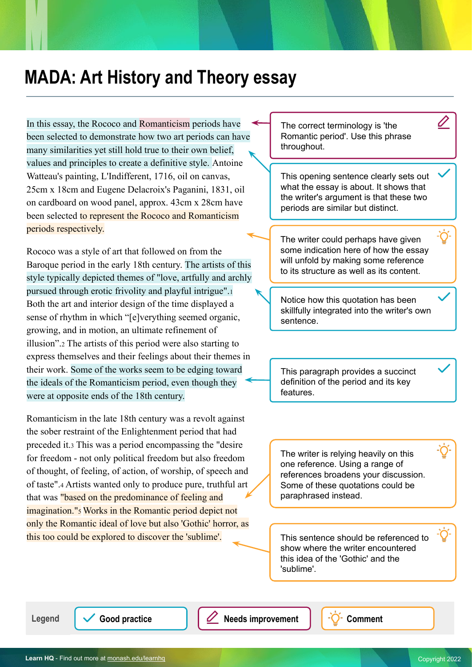## **MADA: Art History and Theory essay**

In this essay, the Rococo and Romanticism periods have been selected to demonstrate how two art periods can have many similarities yet still hold true to their own belief, values and principles to create a definitive style. Antoine Watteau's painting, L'Indifferent, 1716, oil on canvas, 25cm x 18cm and Eugene Delacroix's Paganini, 1831, oil on cardboard on wood panel, approx. 43cm x 28cm have been selected to represent the Rococo and Romanticism periods respectively.

Rococo was a style of art that followed on from the Baroque period in the early 18th century. The artists of this style typically depicted themes of "love, artfully and archly pursued through erotic frivolity and playful intrigue".<sup>1</sup> Both the art and interior design of the time displayed a sense of rhythm in which "[e]verything seemed organic, growing, and in motion, an ultimate refinement of illusion".2 The artists of this period were also starting to express themselves and their feelings about their themes in their work. Some of the works seem to be edging toward the ideals of the Romanticism period, even though they were at opposite ends of the 18th century.

Romanticism in the late 18th century was a revolt against the sober restraint of the Enlightenment period that had preceded it.3 This was a period encompassing the "desire for freedom - not only political freedom but also freedom of thought, of feeling, of action, of worship, of speech and of taste".4 Artists wanted only to produce pure, truthful art that was "based on the predominance of feeling and imagination."<sup>5</sup> Works in the Romantic period depict not only the Romantic ideal of love but also 'Gothic' horror, as this too could be explored to discover the 'sublime'.

The correct terminology is 'the Romantic period'. Use this phrase throughout.

This opening sentence clearly sets out what the essay is about. It shows that the writer's argument is that these two periods are similar but distinct.

The writer could perhaps have given some indication here of how the essay will unfold by making some reference to its structure as well as its content.

Notice how this quotation has been skillfully integrated into the writer's own sentence.

This paragraph provides a succinct definition of the period and its key features.

The writer is relying heavily on this one reference. Using a range of references broadens your discussion. Some of these quotations could be paraphrased instead.

This sentence should be referenced to show where the writer encountered this idea of the 'Gothic' and the 'sublime'.

Legend  $\sqrt{\phantom{a}}$  Good practice  $\sqrt{\phantom{a}}$  Needs improvement  $\sqrt{\phantom{a}}$  Comment

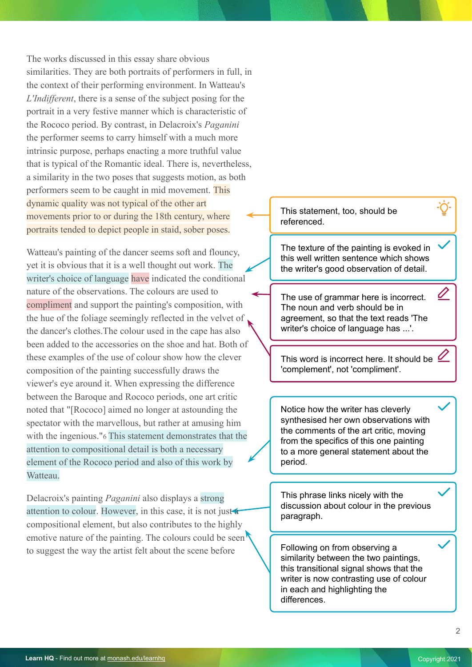The works discussed in this essay share obvious similarities. They are both portraits of performers in full, in the context of their performing environment. In Watteau's *L'Indifferent*, there is a sense of the subject posing for the portrait in a very festive manner which is characteristic of the Rococo period. By contrast, in Delacroix's *Paganini* the performer seems to carry himself with a much more intrinsic purpose, perhaps enacting a more truthful value that is typical of the Romantic ideal. There is, nevertheless, a similarity in the two poses that suggests motion, as both performers seem to be caught in mid movement. This dynamic quality was not typical of the other art movements prior to or during the 18th century, where portraits tended to depict people in staid, sober poses.

Watteau's painting of the dancer seems soft and flouncy, yet it is obvious that it is a well thought out work. The writer's choice of language have indicated the conditional nature of the observations. The colours are used to compliment and support the painting's composition, with the hue of the foliage seemingly reflected in the velvet of the dancer's clothes.The colour used in the cape has also been added to the accessories on the shoe and hat. Both of these examples of the use of colour show how the clever composition of the painting successfully draws the viewer's eye around it. When expressing the difference between the Baroque and Rococo periods, one art critic noted that "[Rococo] aimed no longer at astounding the spectator with the marvellous, but rather at amusing him with the ingenious."6 This statement demonstrates that the attention to compositional detail is both a necessary element of the Rococo period and also of this work by Watteau.

Delacroix's painting *Paganini* also displays a strong attention to colour. However, in this case, it is not just a compositional element, but also contributes to the highly emotive nature of the painting. The colours could be seen to suggest the way the artist felt about the scene before **Following on from observing a** 

This statement, too, should be referenced.

The texture of the painting is evoked in this well written sentence which shows the writer's good observation of detail.

The use of grammar here is incorrect. The noun and verb should be in agreement, so that the text reads 'The writer's choice of language has ...'.

This word is incorrect here. It should be  $\mathscr{D}$ 'complement', not 'compliment'.

Notice how the writer has cleverly synthesised her own observations with the comments of the art critic, moving from the specifics of this one painting to a more general statement about the period.

This phrase links nicely with the discussion about colour in the previous paragraph.

similarity between the two paintings, this transitional signal shows that the writer is now contrasting use of colour in each and highlighting the differences.

0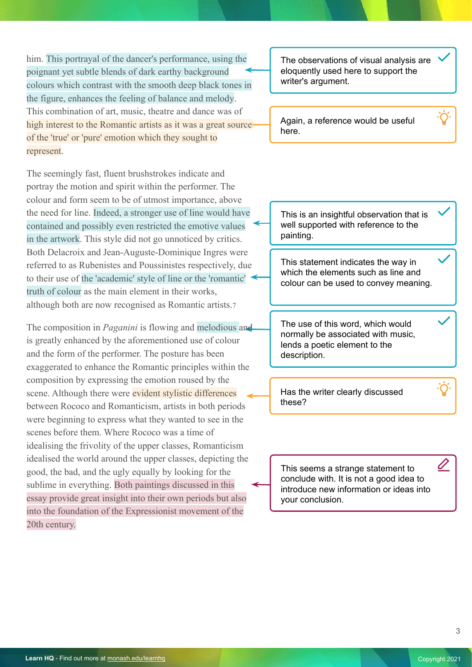him. This portrayal of the dancer's performance, using the poignant yet subtle blends of dark earthy background colours which contrast with the smooth deep black tones in the figure, enhances the feeling of balance and melody. This combination of art, music, theatre and dance was of high interest to the Romantic artists as it was a great sourceof the 'true' or 'pure' emotion which they sought to represent.

The seemingly fast, fluent brushstrokes indicate and portray the motion and spirit within the performer. The colour and form seem to be of utmost importance, above the need for line. Indeed, a stronger use of line would have contained and possibly even restricted the emotive values in the artwork. This style did not go unnoticed by critics. Both Delacroix and Jean-Auguste-Dominique Ingres were referred to as Rubenistes and Poussinistes respectively, due to their use of the 'academic' style of line or the 'romantic' truth of colour as the main element in their works, although both are now recognised as Romantic artists.7

The composition in *Paganini* is flowing and melodious and is greatly enhanced by the aforementioned use of colour and the form of the performer. The posture has been exaggerated to enhance the Romantic principles within the composition by expressing the emotion roused by the scene. Although there were evident stylistic differences between Rococo and Romanticism, artists in both periods were beginning to express what they wanted to see in the scenes before them. Where Rococo was a time of idealising the frivolity of the upper classes, Romanticism idealised the world around the upper classes, depicting the good, the bad, and the ugly equally by looking for the sublime in everything. Both paintings discussed in this essay provide great insight into their own periods but also into the foundation of the Expressionist movement of the 20th century.

The observations of visual analysis are eloquently used here to support the writer's argument.

Again, a reference would be useful here.

This is an insightful observation that is well supported with reference to the painting.

This statement indicates the way in which the elements such as line and colour can be used to convey meaning.

The use of this word, which would normally be associated with music, lends a poetic element to the description.

Has the writer clearly discussed these?

This seems a strange statement to conclude with. It is not a good idea to introduce new information or ideas into your conclusion.

Û